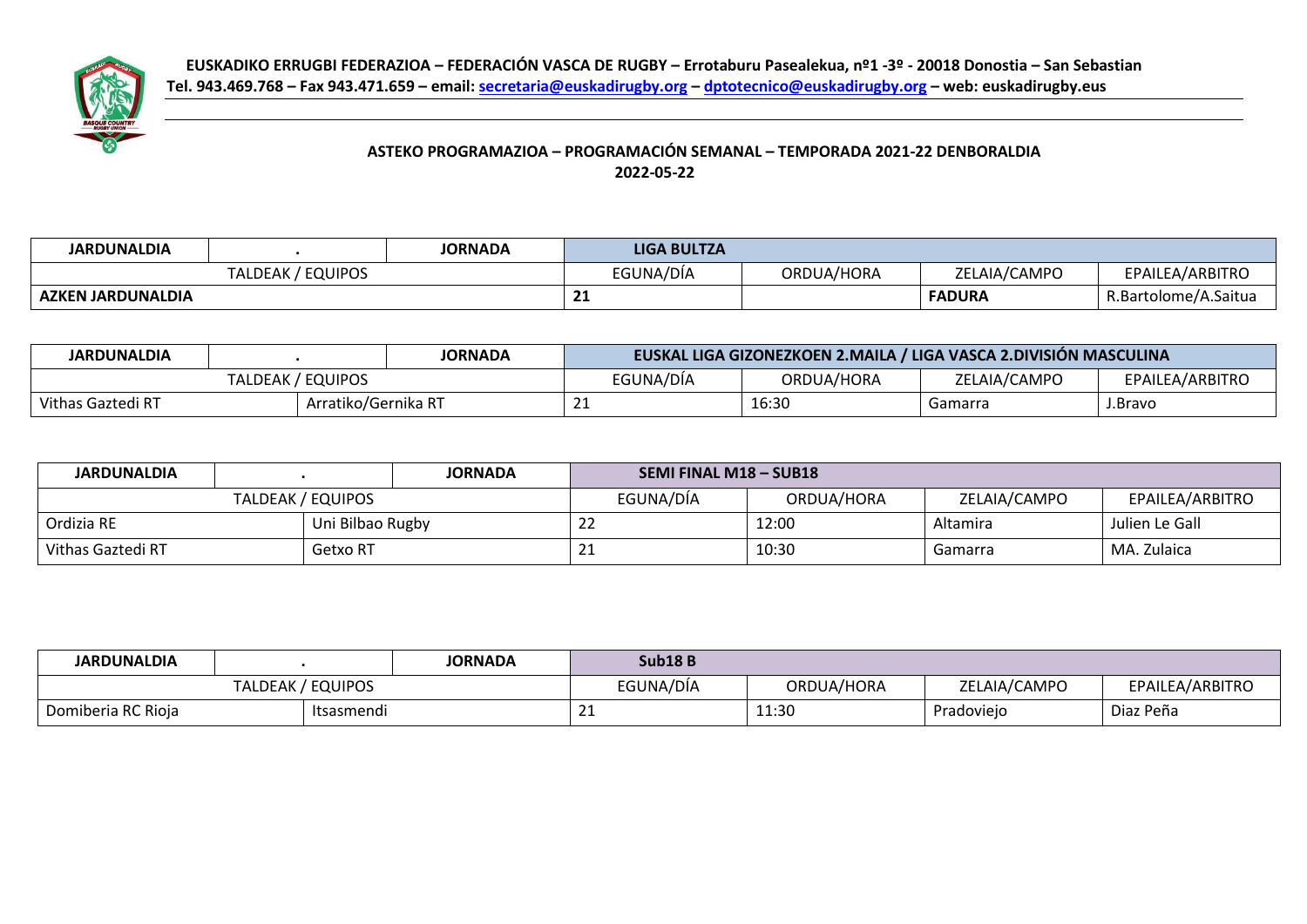

## **ASTEKO PROGRAMAZIOA – PROGRAMACIÓN SEMANAL – TEMPORADA 2021-22 DENBORALDIA 2022-05-22**

| <b>JARDUNALDIA</b>       |                          | JORNADA | <b>LIGA BULTZA</b> |            |               |                      |
|--------------------------|--------------------------|---------|--------------------|------------|---------------|----------------------|
|                          | : / EQUIPOS<br>TALDEAK / |         | EGUNA/DÍA          | ORDUA/HORA | ZELAIA/CAMPO  | EPAILEA/ARBITRO      |
| <b>AZKEN JARDUNALDIA</b> |                          |         | $\sim$<br>--       |            | <b>FADURA</b> | R.Bartolome/A.Saitua |

| <b>JARDUNALDIA</b> |                     | <b>JORNADA</b> | EUSKAL LIGA GIZONEZKOEN 2.MAILA / LIGA VASCA 2.DIVISIÓN MASCULINA |            |              |                 |  |  |
|--------------------|---------------------|----------------|-------------------------------------------------------------------|------------|--------------|-----------------|--|--|
|                    | TALDEAK / EQUIPOS   |                | EGUNA/DÍA                                                         | ORDUA/HORA | ZELAIA/CAMPO | EPAILEA/ARBITRO |  |  |
| Vithas Gaztedi RT  | Arratiko/Gernika RT |                |                                                                   | 16:30      | Gamarra      | J.Bravo         |  |  |

| <b>JARDUNALDIA</b>            |                  |  | <b>JORNADA</b> | <b>SEMI FINAL M18 - SUB18</b> |              |                 |  |  |
|-------------------------------|------------------|--|----------------|-------------------------------|--------------|-----------------|--|--|
| TALDEAK / EQUIPOS             |                  |  | EGUNA/DÍA      | ORDUA/HORA                    | ZELAIA/CAMPO | EPAILEA/ARBITRO |  |  |
| Ordizia RE                    | Uni Bilbao Rugby |  | <u>_ _</u>     | 12:00                         | Altamira     | Julien Le Gall  |  |  |
| Vithas Gaztedi RT<br>Getxo RT |                  |  | ᅩᅩ             | 10:30                         | Gamarra      | MA. Zulaica     |  |  |

| <b>JARDUNALDIA</b>               |  |  | JORNADA    | <b>Sub18B</b> |              |                 |  |
|----------------------------------|--|--|------------|---------------|--------------|-----------------|--|
| TALDEAK / EQUIPOS                |  |  | EGUNA/DÍA  | ORDUA/HORA    | ZELAIA/CAMPO | EPAILEA/ARBITRO |  |
| Domiberia RC Rioja<br>Itsasmendi |  |  | <u>_ _</u> | 11:30         | Pradoviejo   | Diaz Peña       |  |